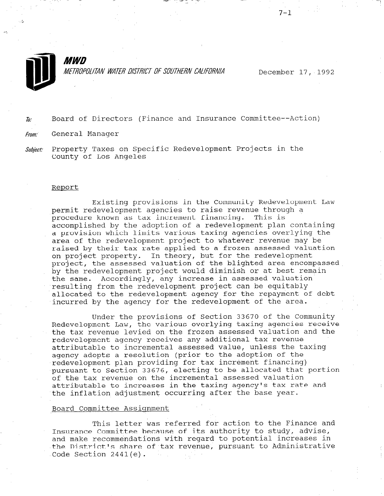

MWD METROPOLITAN WATER DISTRICT OF SOUTHERN CALIFORNIA

December 17, 1992

/

 $\bar{h}$ : Board of Directors (Finance and Insurance Committee--Action)

From: General Manager

Subject: Property Taxes on Specific Redevelopment Projects in the County of Los Angeles

#### Report

Existing provisions in the Community Redevelopment Law permit redevelopment agencies to raise revenue through a procedure known as tax increment financing. This is accomplished by the adoption of a redevelopment plan containing a provision which limits various taxing agencies overlying the area of the redevelopment project to whatever revenue may be raised by their tax rate applied to a frozen assessed valuation on project property. In theory, but for the redevelopment project, the assessed valuation of the blighted area encompassed by the redevelopment project would diminish or at best remain the same. Accordingly, any increase in assessed valuation resulting from the redevelopment project can be equitably allocated to the redevelopment agency for the repayment of debt incurred by the agency for the redevelopment of the area.

Under the provisions of Section 33670 of the Community Redevelopment Law, the various overlying taxing agencies receive the tax revenue levied on the frozen assessed valuation and the redevelopment agency receives any additional tax revenue attributable to incremental assessed value, unless the taxing agency adopts a resolution (prior to the adoption of the redevelopment plan providing for tax increment financing) pursuant to Section 33676, electing to be allocated that portion of the tax revenue on the incremental assessed valuation attributable to increases in the taxing agency's tax rate and the inflation adjustment occurring after the base year.

# Board Committee Assignment

This letter was referred for action to the Finance and Insurance Committee because of its about the international committee of its advise, Insurance committee because of its authority to stawy, auvisory and make recommendations with regard to potential flucrease Che District's Sha.  $\alpha_{\rm{max}}$  ,  $\beta_{\rm{max}}$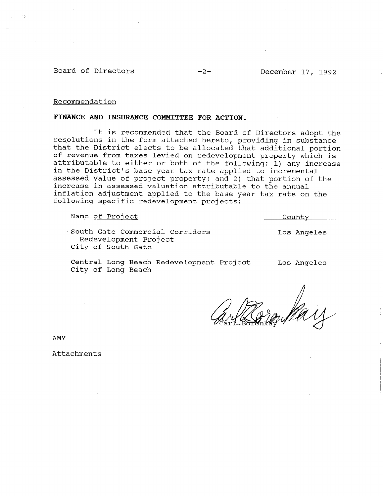Board of Directors -2- December 17, 1992

#### Recommendation

# FINANCE AND INSURANCE COMMITTEE FOR ACTION,

It is recommended that the Board of Directors adopt the resolutions in the form attached hereto, providing in substance that the District elects to be allocated that additional portion of revenue from taxes levied on redevelopment property which is attributable to either or both of the following: 1) any increase in the District's base year tax rate applied to incremental assessed value of project property; and 2) that portion of the increase in assessed valuation attributable to the annual inflation adjustment applied to the base year tax rate on the following specific redevelopment projects:

Name of Project and County

South Gate Commercial Corridors Redevelopment Project City of South Gate

Central Long Beach Redevelopment Project City of Long Beach

Los Angeles

Los Angeles

AMY

Attachments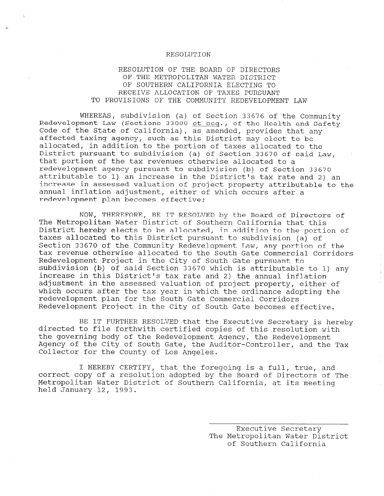#### RESOLUTION

# RESOLUTION OF THE BOARD OF DIRECTORS OF THE METROPOLITAN WATER DISTRICT OF SOUTHERN CALIFORNIA ELECTING TO RECEIVE ALLOCATION OF TAXES PURSUANT TO PROVISIONS OF THE COMMUNITY REDEVELOPMENT LAW

WHEREAS, subdivision (a) of Section 33676 of the Community Redevelopment Law (Sections 33000 et seq., of the Health and Safety Code of the State of California), as amended, provides that any affected taxing agency, such as this District may elect to be allocated, in addition to the portion of taxes allocated to the District pursuant to subdivision (a) of Section 33670 of said Law, that portion of the tax revenues otherwise allocated to a redevelopment agency pursuant to subdivision (b) of Section 33670 attributable to 1) an increase in the District's tax rate and 2) an increase in assessed valuation of project property attributable to the annual inflation adjustment, either of which occurs after a redevelopment plan becomes effective;

NOW, THEREFORE, BE IT RESOLVED by the Board of Directors of The Metropolitan Water District of Southern California that this District hereby elects to be allocated, in addition to the portion of taxes allocated to this District pursuant to subdivision (a) of Section 33670 of the Community Redevelopment Law, any portion of the tax revenue otherwise allocated to the South Gate Commercial Corridors Redevelopment Project in the City of South Gate pursuant to subdivision (b) of said Section 33670 which is attributable to 1) any increase in this District's tax rate and 2) the annual inflation adjustment in the assessed valuation of project property, either of which occurs after the tax year in which the ordinance adopting the redevelopment plan for the South Gate Commercial Corridors Redevelopment Project in the City of South Gate becomes effective.

BE IT FURTHER RESOLVED that the Executive Secretary is hereby directed to file forthwith certified copies of this resolution with the governing body of the Redevelopment Agency, the Redevelopment Agency of the City of South Gate, the Auditor-Controller, and the Tax Collector for the County of Los Angeles.

I HEREBY CERTIFY, that the foregoing is a full, true, and correct copy of a resolution adopted by the Board of Directors of The Metropolitan Water District of Southern California, at its meeting held January 12, 1993.

> Executive Secretary Executive Secretary mecroporican water